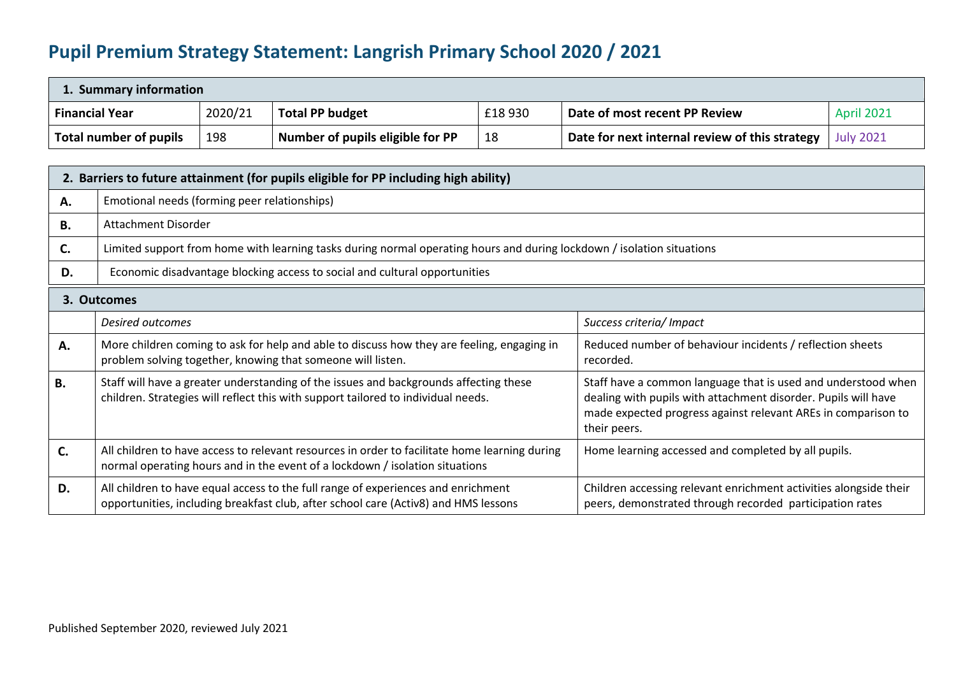## **Pupil Premium Strategy Statement: Langrish Primary School 2020 / 2021**

| 1. Summary information        |         |                                  |         |                                                |                   |
|-------------------------------|---------|----------------------------------|---------|------------------------------------------------|-------------------|
| <b>Financial Year</b>         | 2020/21 | <b>Total PP budget</b>           | £18 930 | Date of most recent PP Review                  | <b>April 2021</b> |
| <b>Total number of pupils</b> | 198     | Number of pupils eligible for PP | 18      | Date for next internal review of this strategy | <b>July 2021</b>  |

|           | 2. Barriers to future attainment (for pupils eligible for PP including high ability)                                                                                          |                                                                                                                                                                                                                  |  |  |  |  |
|-----------|-------------------------------------------------------------------------------------------------------------------------------------------------------------------------------|------------------------------------------------------------------------------------------------------------------------------------------------------------------------------------------------------------------|--|--|--|--|
| А.        | Emotional needs (forming peer relationships)                                                                                                                                  |                                                                                                                                                                                                                  |  |  |  |  |
| В.        | Attachment Disorder                                                                                                                                                           |                                                                                                                                                                                                                  |  |  |  |  |
| С.        | Limited support from home with learning tasks during normal operating hours and during lockdown / isolation situations                                                        |                                                                                                                                                                                                                  |  |  |  |  |
| D.        | Economic disadvantage blocking access to social and cultural opportunities                                                                                                    |                                                                                                                                                                                                                  |  |  |  |  |
|           | 3. Outcomes                                                                                                                                                                   |                                                                                                                                                                                                                  |  |  |  |  |
|           | Desired outcomes                                                                                                                                                              | Success criteria/ Impact                                                                                                                                                                                         |  |  |  |  |
| Α.        | More children coming to ask for help and able to discuss how they are feeling, engaging in<br>problem solving together, knowing that someone will listen.                     | Reduced number of behaviour incidents / reflection sheets<br>recorded.                                                                                                                                           |  |  |  |  |
| <b>B.</b> | Staff will have a greater understanding of the issues and backgrounds affecting these<br>children. Strategies will reflect this with support tailored to individual needs.    | Staff have a common language that is used and understood when<br>dealing with pupils with attachment disorder. Pupils will have<br>made expected progress against relevant AREs in comparison to<br>their peers. |  |  |  |  |
| C.        | All children to have access to relevant resources in order to facilitate home learning during<br>normal operating hours and in the event of a lockdown / isolation situations | Home learning accessed and completed by all pupils.                                                                                                                                                              |  |  |  |  |
| D.        | All children to have equal access to the full range of experiences and enrichment<br>opportunities, including breakfast club, after school care (Activ8) and HMS lessons      | Children accessing relevant enrichment activities alongside their<br>peers, demonstrated through recorded participation rates                                                                                    |  |  |  |  |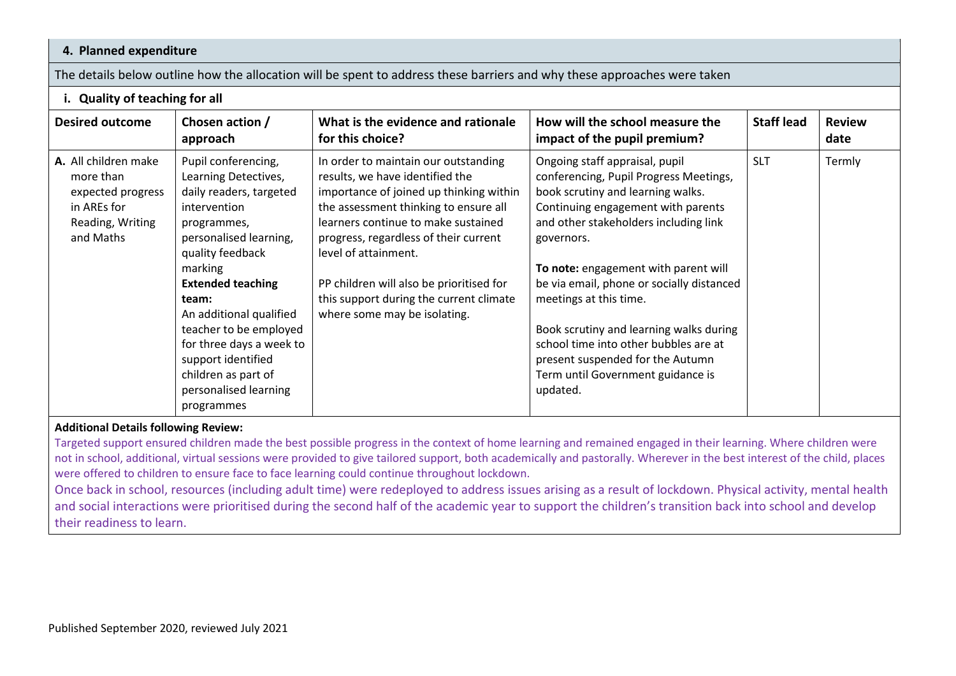## **4. Planned expenditure**

The details below outline how the allocation will be spent to address these barriers and why these approaches were taken

## **i. Quality of teaching for all**

| <b>Desired outcome</b>                                                                                 | Chosen action /<br>approach                                                                                                                                                                                                                                                                                                                                              | What is the evidence and rationale<br>for this choice?                                                                                                                                                                                                                                                                                                                                     | How will the school measure the<br>impact of the pupil premium?                                                                                                                                                                                                                                                                                                                                                                                                                                    | <b>Staff lead</b> | <b>Review</b><br>date |
|--------------------------------------------------------------------------------------------------------|--------------------------------------------------------------------------------------------------------------------------------------------------------------------------------------------------------------------------------------------------------------------------------------------------------------------------------------------------------------------------|--------------------------------------------------------------------------------------------------------------------------------------------------------------------------------------------------------------------------------------------------------------------------------------------------------------------------------------------------------------------------------------------|----------------------------------------------------------------------------------------------------------------------------------------------------------------------------------------------------------------------------------------------------------------------------------------------------------------------------------------------------------------------------------------------------------------------------------------------------------------------------------------------------|-------------------|-----------------------|
| A. All children make<br>more than<br>expected progress<br>in AREs for<br>Reading, Writing<br>and Maths | Pupil conferencing,<br>Learning Detectives,<br>daily readers, targeted<br>intervention<br>programmes,<br>personalised learning,<br>quality feedback<br>marking<br><b>Extended teaching</b><br>team:<br>An additional qualified<br>teacher to be employed<br>for three days a week to<br>support identified<br>children as part of<br>personalised learning<br>programmes | In order to maintain our outstanding<br>results, we have identified the<br>importance of joined up thinking within<br>the assessment thinking to ensure all<br>learners continue to make sustained<br>progress, regardless of their current<br>level of attainment.<br>PP children will also be prioritised for<br>this support during the current climate<br>where some may be isolating. | Ongoing staff appraisal, pupil<br>conferencing, Pupil Progress Meetings,<br>book scrutiny and learning walks.<br>Continuing engagement with parents<br>and other stakeholders including link<br>governors.<br>To note: engagement with parent will<br>be via email, phone or socially distanced<br>meetings at this time.<br>Book scrutiny and learning walks during<br>school time into other bubbles are at<br>present suspended for the Autumn<br>Term until Government guidance is<br>updated. | <b>SLT</b>        | Termly                |

## **Additional Details following Review:**

Targeted support ensured children made the best possible progress in the context of home learning and remained engaged in their learning. Where children were not in school, additional, virtual sessions were provided to give tailored support, both academically and pastorally. Wherever in the best interest of the child, places were offered to children to ensure face to face learning could continue throughout lockdown.

Once back in school, resources (including adult time) were redeployed to address issues arising as a result of lockdown. Physical activity, mental health and social interactions were prioritised during the second half of the academic year to support the children's transition back into school and develop their readiness to learn.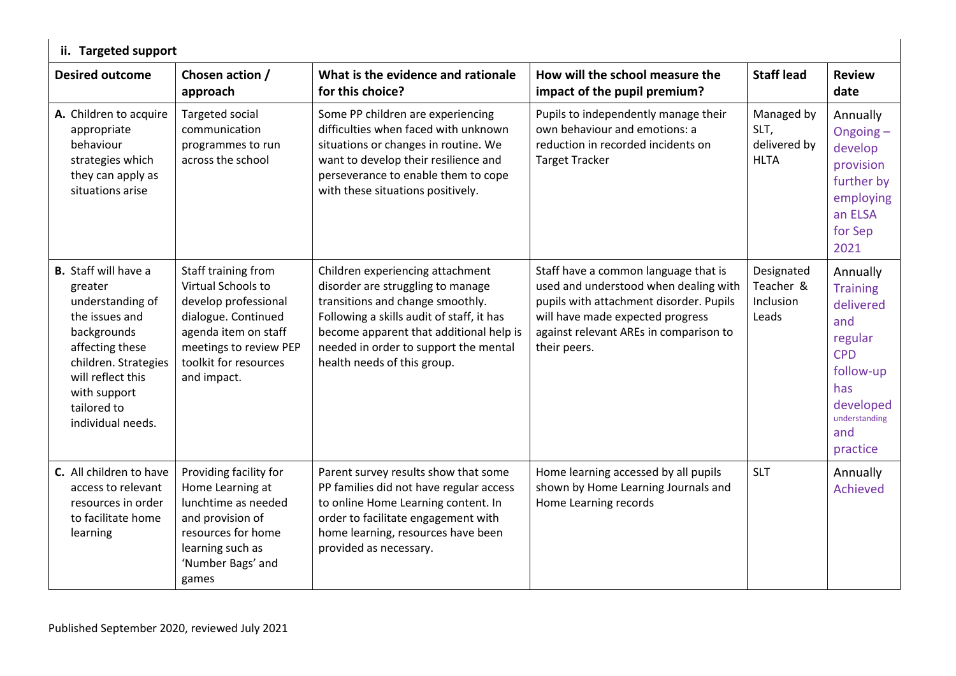| ii. Targeted support                                                                                                                                                                                            |                                                                                                                                                                                    |                                                                                                                                                                                                                                                                           |                                                                                                                                                                                                                        |                                                   |                                                                                                                                               |
|-----------------------------------------------------------------------------------------------------------------------------------------------------------------------------------------------------------------|------------------------------------------------------------------------------------------------------------------------------------------------------------------------------------|---------------------------------------------------------------------------------------------------------------------------------------------------------------------------------------------------------------------------------------------------------------------------|------------------------------------------------------------------------------------------------------------------------------------------------------------------------------------------------------------------------|---------------------------------------------------|-----------------------------------------------------------------------------------------------------------------------------------------------|
| <b>Desired outcome</b>                                                                                                                                                                                          | Chosen action /<br>approach                                                                                                                                                        | What is the evidence and rationale<br>for this choice?                                                                                                                                                                                                                    | How will the school measure the<br>impact of the pupil premium?                                                                                                                                                        | <b>Staff lead</b>                                 | <b>Review</b><br>date                                                                                                                         |
| A. Children to acquire<br>appropriate<br>behaviour<br>strategies which<br>they can apply as<br>situations arise                                                                                                 | Targeted social<br>communication<br>programmes to run<br>across the school                                                                                                         | Some PP children are experiencing<br>difficulties when faced with unknown<br>situations or changes in routine. We<br>want to develop their resilience and<br>perseverance to enable them to cope<br>with these situations positively.                                     | Pupils to independently manage their<br>own behaviour and emotions: a<br>reduction in recorded incidents on<br><b>Target Tracker</b>                                                                                   | Managed by<br>SLT,<br>delivered by<br><b>HLTA</b> | Annually<br>Ongoing-<br>develop<br>provision<br>further by<br>employing<br>an ELSA<br>for Sep<br>2021                                         |
| <b>B.</b> Staff will have a<br>greater<br>understanding of<br>the issues and<br>backgrounds<br>affecting these<br>children. Strategies<br>will reflect this<br>with support<br>tailored to<br>individual needs. | Staff training from<br>Virtual Schools to<br>develop professional<br>dialogue. Continued<br>agenda item on staff<br>meetings to review PEP<br>toolkit for resources<br>and impact. | Children experiencing attachment<br>disorder are struggling to manage<br>transitions and change smoothly.<br>Following a skills audit of staff, it has<br>become apparent that additional help is<br>needed in order to support the mental<br>health needs of this group. | Staff have a common language that is<br>used and understood when dealing with<br>pupils with attachment disorder. Pupils<br>will have made expected progress<br>against relevant AREs in comparison to<br>their peers. | Designated<br>Teacher &<br>Inclusion<br>Leads     | Annually<br><b>Training</b><br>delivered<br>and<br>regular<br><b>CPD</b><br>follow-up<br>has<br>developed<br>understanding<br>and<br>practice |
| C. All children to have<br>access to relevant<br>resources in order<br>to facilitate home<br>learning                                                                                                           | Providing facility for<br>Home Learning at<br>lunchtime as needed<br>and provision of<br>resources for home<br>learning such as<br>'Number Bags' and<br>games                      | Parent survey results show that some<br>PP families did not have regular access<br>to online Home Learning content. In<br>order to facilitate engagement with<br>home learning, resources have been<br>provided as necessary.                                             | Home learning accessed by all pupils<br>shown by Home Learning Journals and<br>Home Learning records                                                                                                                   | <b>SLT</b>                                        | Annually<br><b>Achieved</b>                                                                                                                   |